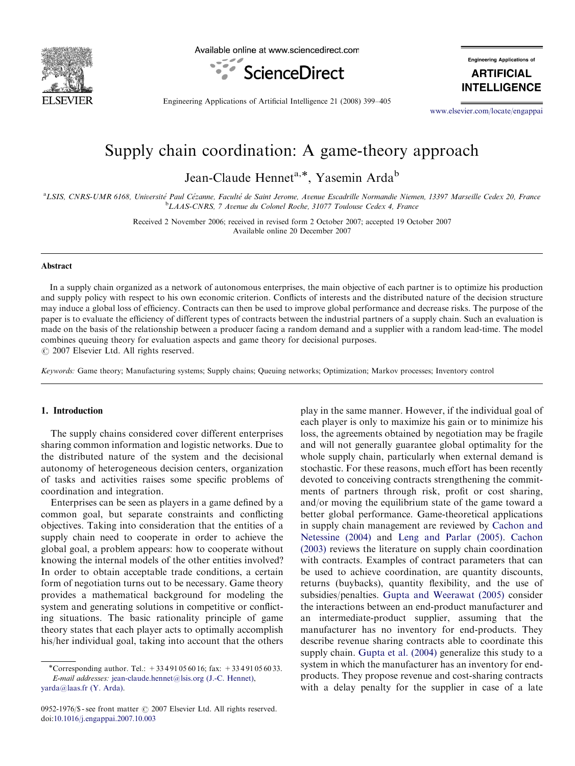

Available online at www.sciencedirect.com



**Engineering Applications of** 

**ARTIFICIAL INTELLIGENCE** 

Engineering Applications of Artificial Intelligence 21 (2008) 399–405

<www.elsevier.com/locate/engappai>

## Supply chain coordination: A game-theory approach

Jean-Claude Hennet<sup>a,\*</sup>, Yasemin Arda<sup>b</sup>

<sup>a</sup>LSIS, CNRS-UMR 6168, Université Paul Cézanne, Faculté de Saint Jerome, Avenue Escadrille Normandie Niemen, 13397 Marseille Cedex 20, France <sup>b</sup>LAAS-CNRS, 7 Avenue du Colonel Roche, 31077 Toulouse Cedex 4, France

> Received 2 November 2006; received in revised form 2 October 2007; accepted 19 October 2007 Available online 20 December 2007

## Abstract

In a supply chain organized as a network of autonomous enterprises, the main objective of each partner is to optimize his production and supply policy with respect to his own economic criterion. Conflicts of interests and the distributed nature of the decision structure may induce a global loss of efficiency. Contracts can then be used to improve global performance and decrease risks. The purpose of the paper is to evaluate the efficiency of different types of contracts between the industrial partners of a supply chain. Such an evaluation is made on the basis of the relationship between a producer facing a random demand and a supplier with a random lead-time. The model combines queuing theory for evaluation aspects and game theory for decisional purposes.  $C$  2007 Elsevier Ltd. All rights reserved.

Keywords: Game theory; Manufacturing systems; Supply chains; Queuing networks; Optimization; Markov processes; Inventory control

#### 1. Introduction

The supply chains considered cover different enterprises sharing common information and logistic networks. Due to the distributed nature of the system and the decisional autonomy of heterogeneous decision centers, organization of tasks and activities raises some specific problems of coordination and integration.

Enterprises can be seen as players in a game defined by a common goal, but separate constraints and conflicting objectives. Taking into consideration that the entities of a supply chain need to cooperate in order to achieve the global goal, a problem appears: how to cooperate without knowing the internal models of the other entities involved? In order to obtain acceptable trade conditions, a certain form of negotiation turns out to be necessary. Game theory provides a mathematical background for modeling the system and generating solutions in competitive or conflicting situations. The basic rationality principle of game theory states that each player acts to optimally accomplish his/her individual goal, taking into account that the others play in the same manner. However, if the individual goal of each player is only to maximize his gain or to minimize his loss, the agreements obtained by negotiation may be fragile and will not generally guarantee global optimality for the whole supply chain, particularly when external demand is stochastic. For these reasons, much effort has been recently devoted to conceiving contracts strengthening the commitments of partners through risk, profit or cost sharing, and/or moving the equilibrium state of the game toward a better global performance. Game-theoretical applications in supply chain management are reviewed by [Cachon and](#page--1-0) [Netessine \(2004\)](#page--1-0) and [Leng and Parlar \(2005\).](#page--1-0) [Cachon](#page--1-0) [\(2003\)](#page--1-0) reviews the literature on supply chain coordination with contracts. Examples of contract parameters that can be used to achieve coordination, are quantity discounts, returns (buybacks), quantity flexibility, and the use of subsidies/penalties. [Gupta and Weerawat \(2005\)](#page--1-0) consider the interactions between an end-product manufacturer and an intermediate-product supplier, assuming that the manufacturer has no inventory for end-products. They describe revenue sharing contracts able to coordinate this supply chain. [Gupta et al. \(2004\)](#page--1-0) generalize this study to a system in which the manufacturer has an inventory for endproducts. They propose revenue and cost-sharing contracts with a delay penalty for the supplier in case of a late

<sup>\*</sup>Corresponding author. Tel.: +33491056016; fax: +33491056033. E-mail addresses: [jean-claude.hennet@lsis.org \(J.-C. Hennet\),](mailto:jean-claude.hennet@lsis.org) [yarda@laas.fr \(Y. Arda\)](mailto:yarda@laas.fr).

<sup>0952-1976/\$ -</sup> see front matter  $\odot$  2007 Elsevier Ltd. All rights reserved. doi:[10.1016/j.engappai.2007.10.003](dx.doi.org/10.1016/j.engappai.2007.10.003)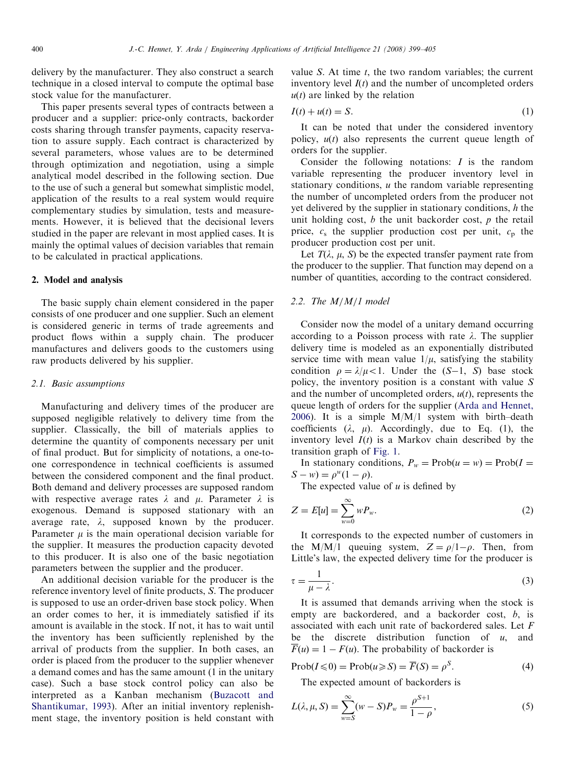delivery by the manufacturer. They also construct a search technique in a closed interval to compute the optimal base stock value for the manufacturer.

This paper presents several types of contracts between a producer and a supplier: price-only contracts, backorder costs sharing through transfer payments, capacity reservation to assure supply. Each contract is characterized by several parameters, whose values are to be determined through optimization and negotiation, using a simple analytical model described in the following section. Due to the use of such a general but somewhat simplistic model, application of the results to a real system would require complementary studies by simulation, tests and measurements. However, it is believed that the decisional levers studied in the paper are relevant in most applied cases. It is mainly the optimal values of decision variables that remain to be calculated in practical applications.

#### 2. Model and analysis

The basic supply chain element considered in the paper consists of one producer and one supplier. Such an element is considered generic in terms of trade agreements and product flows within a supply chain. The producer manufactures and delivers goods to the customers using raw products delivered by his supplier.

## 2.1. Basic assumptions

Manufacturing and delivery times of the producer are supposed negligible relatively to delivery time from the supplier. Classically, the bill of materials applies to determine the quantity of components necessary per unit of final product. But for simplicity of notations, a one-toone correspondence in technical coefficients is assumed between the considered component and the final product. Both demand and delivery processes are supposed random with respective average rates  $\lambda$  and  $\mu$ . Parameter  $\lambda$  is exogenous. Demand is supposed stationary with an average rate,  $\lambda$ , supposed known by the producer. Parameter  $\mu$  is the main operational decision variable for the supplier. It measures the production capacity devoted to this producer. It is also one of the basic negotiation parameters between the supplier and the producer.

An additional decision variable for the producer is the reference inventory level of finite products, S. The producer is supposed to use an order-driven base stock policy. When an order comes to her, it is immediately satisfied if its amount is available in the stock. If not, it has to wait until the inventory has been sufficiently replenished by the arrival of products from the supplier. In both cases, an order is placed from the producer to the supplier whenever a demand comes and has the same amount (1 in the unitary case). Such a base stock control policy can also be interpreted as a Kanban mechanism [\(Buzacott and](#page--1-0) [Shantikumar, 1993](#page--1-0)). After an initial inventory replenishment stage, the inventory position is held constant with value  $S$ . At time  $t$ , the two random variables; the current inventory level  $I(t)$  and the number of uncompleted orders  $u(t)$  are linked by the relation

$$
I(t) + u(t) = S.
$$
 (1)

It can be noted that under the considered inventory policy,  $u(t)$  also represents the current queue length of orders for the supplier.

Consider the following notations:  $I$  is the random variable representing the producer inventory level in stationary conditions,  $u$  the random variable representing the number of uncompleted orders from the producer not yet delivered by the supplier in stationary conditions, h the unit holding cost,  $b$  the unit backorder cost,  $p$  the retail price,  $c_s$  the supplier production cost per unit,  $c_p$  the producer production cost per unit.

Let  $T(\lambda, \mu, S)$  be the expected transfer payment rate from the producer to the supplier. That function may depend on a number of quantities, according to the contract considered.

## 2.2. The M/M/1 model

Consider now the model of a unitary demand occurring according to a Poisson process with rate  $\lambda$ . The supplier delivery time is modeled as an exponentially distributed service time with mean value  $1/\mu$ , satisfying the stability condition  $\rho = \lambda/\mu < 1$ . Under the  $(S-1, S)$  base stock policy, the inventory position is a constant with value S and the number of uncompleted orders,  $u(t)$ , represents the queue length of orders for the supplier [\(Arda and Hennet,](#page--1-0) [2006\)](#page--1-0). It is a simple  $M/M/1$  system with birth-death coefficients  $(\lambda, \mu)$ . Accordingly, due to Eq. (1), the inventory level  $I(t)$  is a Markov chain described by the transition graph of [Fig. 1.](#page--1-0)

In stationary conditions,  $P_w = \text{Prob}(u = w) = \text{Prob}(I =$  $S - w$ ) =  $\rho^{w}(1 - \rho)$ .

The expected value of  $u$  is defined by

$$
Z = E[u] = \sum_{w=0}^{\infty} w P_w.
$$
 (2)

It corresponds to the expected number of customers in the M/M/1 queuing system,  $Z = \rho/1-\rho$ . Then, from Little's law, the expected delivery time for the producer is

$$
\tau = \frac{1}{\mu - \lambda}.\tag{3}
$$

It is assumed that demands arriving when the stock is empty are backordered, and a backorder cost, b, is associated with each unit rate of backordered sales. Let F be the discrete distribution function of  $u$ , and  $\overline{F}(u) = 1 - F(u)$ . The probability of backorder is

$$
Prob(I \leq 0) = Prob(u \geq S) = \overline{F}(S) = \rho^{S}.
$$
\n(4)

The expected amount of backorders is

$$
L(\lambda, \mu, S) = \sum_{w=S}^{\infty} (w - S) P_w = \frac{\rho^{S+1}}{1 - \rho},
$$
\n(5)